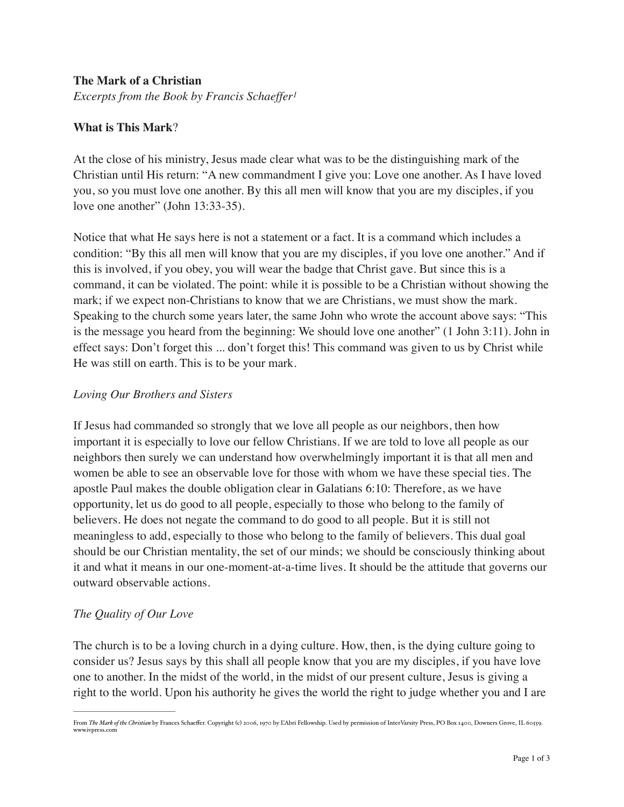## **The Mark of a Christian**

*Excerpts from the Book by Francis Schaeffer1*

## **What is This Mark**?

At the close of his ministry, Jesus made clear what was to be the distinguishing mark of the Christian until His return: "A new commandment I give you: Love one another. As I have loved you, so you must love one another. By this all men will know that you are my disciples, if you love one another" (John 13:33-35).

Notice that what He says here is not a statement or a fact. It is a command which includes a condition: "By this all men will know that you are my disciples, if you love one another." And if this is involved, if you obey, you will wear the badge that Christ gave. But since this is a command, it can be violated. The point: while it is possible to be a Christian without showing the mark; if we expect non-Christians to know that we are Christians, we must show the mark. Speaking to the church some years later, the same John who wrote the account above says: "This is the message you heard from the beginning: We should love one another" (1 John 3:11). John in effect says: Don't forget this ... don't forget this! This command was given to us by Christ while He was still on earth. This is to be your mark.

### *Loving Our Brothers and Sisters*

If Jesus had commanded so strongly that we love all people as our neighbors, then how important it is especially to love our fellow Christians. If we are told to love all people as our neighbors then surely we can understand how overwhelmingly important it is that all men and women be able to see an observable love for those with whom we have these special ties. The apostle Paul makes the double obligation clear in Galatians 6:10: Therefore, as we have opportunity, let us do good to all people, especially to those who belong to the family of believers. He does not negate the command to do good to all people. But it is still not meaningless to add, especially to those who belong to the family of believers. This dual goal should be our Christian mentality, the set of our minds; we should be consciously thinking about it and what it means in our one-moment-at-a-time lives. It should be the attitude that governs our outward observable actions.

# *The Quality of Our Love*

The church is to be a loving church in a dying culture. How, then, is the dying culture going to consider us? Jesus says by this shall all people know that you are my disciples, if you have love one to another. In the midst of the world, in the midst of our present culture, Jesus is giving a right to the world. Upon his authority he gives the world the right to judge whether you and I are

From *The Mark of the Christian* by Frances Schaeffer. Copyright (c) 2006, 1970 by L'Abri Fellowship. Used by permission of InterVarsity Press, PO Box 1400, Downers Grove, IL 60559. www.ivpress.com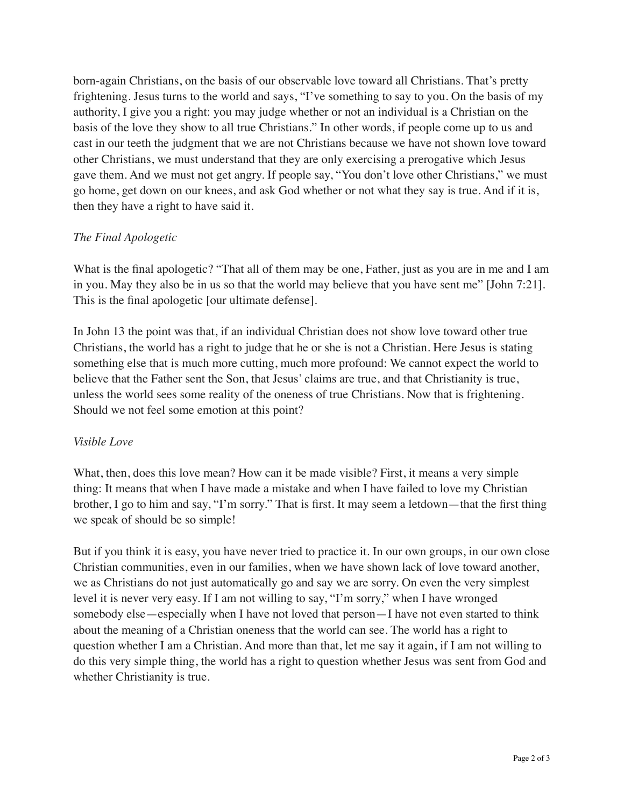born-again Christians, on the basis of our observable love toward all Christians. That's pretty frightening. Jesus turns to the world and says, "I've something to say to you. On the basis of my authority, I give you a right: you may judge whether or not an individual is a Christian on the basis of the love they show to all true Christians." In other words, if people come up to us and cast in our teeth the judgment that we are not Christians because we have not shown love toward other Christians, we must understand that they are only exercising a prerogative which Jesus gave them. And we must not get angry. If people say, "You don't love other Christians," we must go home, get down on our knees, and ask God whether or not what they say is true. And if it is, then they have a right to have said it.

## *The Final Apologetic*

What is the final apologetic? "That all of them may be one, Father, just as you are in me and I am in you. May they also be in us so that the world may believe that you have sent me" [John 7:21]. This is the final apologetic [our ultimate defense].

In John 13 the point was that, if an individual Christian does not show love toward other true Christians, the world has a right to judge that he or she is not a Christian. Here Jesus is stating something else that is much more cutting, much more profound: We cannot expect the world to believe that the Father sent the Son, that Jesus' claims are true, and that Christianity is true, unless the world sees some reality of the oneness of true Christians. Now that is frightening. Should we not feel some emotion at this point?

### *Visible Love*

What, then, does this love mean? How can it be made visible? First, it means a very simple thing: It means that when I have made a mistake and when I have failed to love my Christian brother, I go to him and say, "I'm sorry." That is first. It may seem a letdown—that the first thing we speak of should be so simple!

But if you think it is easy, you have never tried to practice it. In our own groups, in our own close Christian communities, even in our families, when we have shown lack of love toward another, we as Christians do not just automatically go and say we are sorry. On even the very simplest level it is never very easy. If I am not willing to say, "I'm sorry," when I have wronged somebody else—especially when I have not loved that person—I have not even started to think about the meaning of a Christian oneness that the world can see. The world has a right to question whether I am a Christian. And more than that, let me say it again, if I am not willing to do this very simple thing, the world has a right to question whether Jesus was sent from God and whether Christianity is true.